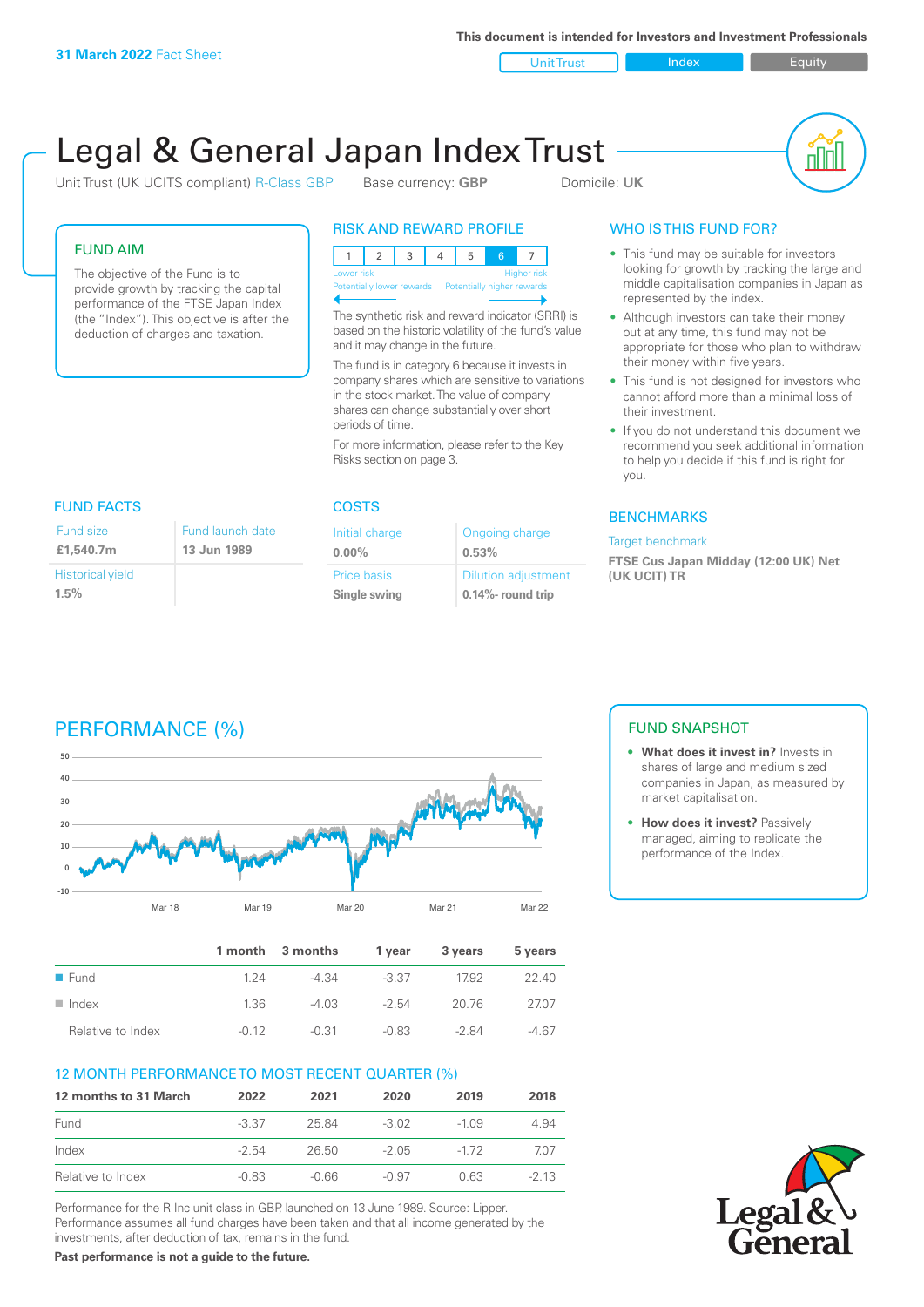**This document is intended for Investors and Investment Professionals**

Unit Trust Index Index Equity

# Legal & General Japan Index Trust

Unit Trust (UK UCITS compliant) R-Class GBP Base currency: **GBP** Domicile: UK



#### FUND AIM

The objective of the Fund is to provide growth by tracking the capital performance of the FTSE Japan Index (the "Index"). This objective is after the deduction of charges and taxation.

#### RISK AND REWARD PROFILE

| Lower risk                                           |  |  |  |  |  | <b>Higher risk</b> |
|------------------------------------------------------|--|--|--|--|--|--------------------|
| Potentially lower rewards Potentially higher rewards |  |  |  |  |  |                    |
|                                                      |  |  |  |  |  |                    |

The synthetic risk and reward indicator (SRRI) is based on the historic volatility of the fund's value and it may change in the future.

The fund is in category 6 because it invests in company shares which are sensitive to variations in the stock market. The value of company shares can change substantially over short periods of time.

For more information, please refer to the Key Risks section on page 3.

| <b>FUND FACTS</b>               |                                 |  |  |
|---------------------------------|---------------------------------|--|--|
| Fund size<br>£1,540.7m          | Fund launch date<br>13 Jun 1989 |  |  |
| <b>Historical yield</b><br>1.5% |                                 |  |  |

#### COSTS

| Initial charge | Ongoing charge             |
|----------------|----------------------------|
| $0.00\%$       | 0.53%                      |
| Price basis    | <b>Dilution adjustment</b> |
| Single swing   | 0.14%- round trip          |

### WHO IS THIS FUND FOR?

- This fund may be suitable for investors looking for growth by tracking the large and middle capitalisation companies in Japan as represented by the index.
- Although investors can take their money out at any time, this fund may not be appropriate for those who plan to withdraw their money within five years.
- This fund is not designed for investors who cannot afford more than a minimal loss of their investment.
- If you do not understand this document we recommend you seek additional information to help you decide if this fund is right for you.

#### **BENCHMARKS**

#### Target benchmark

**FTSE Cus Japan Midday (12:00 UK) Net (UK UCIT) TR**

## PERFORMANCE (%)



|                      |         | 1 month 3 months | 1 vear  | 3 years | 5 years |
|----------------------|---------|------------------|---------|---------|---------|
| $\blacksquare$ Fund  | 124     | -4.34            | -3.37   | 17.92   | 22.40   |
| $\blacksquare$ Index | 1.36    | -4 03            | $-2.54$ | 20.76   | 2707    |
| Relative to Index    | $-0.12$ | $-0.31$          | $-0.83$ | $-284$  | -4.67   |

#### 12 MONTH PERFORMANCE TO MOST RECENT QUARTER (%)

| 12 months to 31 March | 2022    | 2021  | 2020    | 2019    | 2018   |
|-----------------------|---------|-------|---------|---------|--------|
| Fund                  | $-3.37$ | 25.84 | $-3.02$ | $-1.09$ | 4.94   |
| Index                 | $-2.54$ | 26.50 | -2.05   | $-172$  | 707    |
| Relative to Index     | $-0.83$ | -0.66 | $-0.97$ | 0.63    | $-213$ |

Performance for the R Inc unit class in GBP, launched on 13 June 1989. Source: Lipper. Performance assumes all fund charges have been taken and that all income generated by the investments, after deduction of tax, remains in the fund.

**Past performance is not a guide to the future.**

#### FUND SNAPSHOT

- **• What does it invest in?** Invests in shares of large and medium sized companies in Japan, as measured by market capitalisation.
- **• How does it invest?** Passively managed, aiming to replicate the performance of the Index.

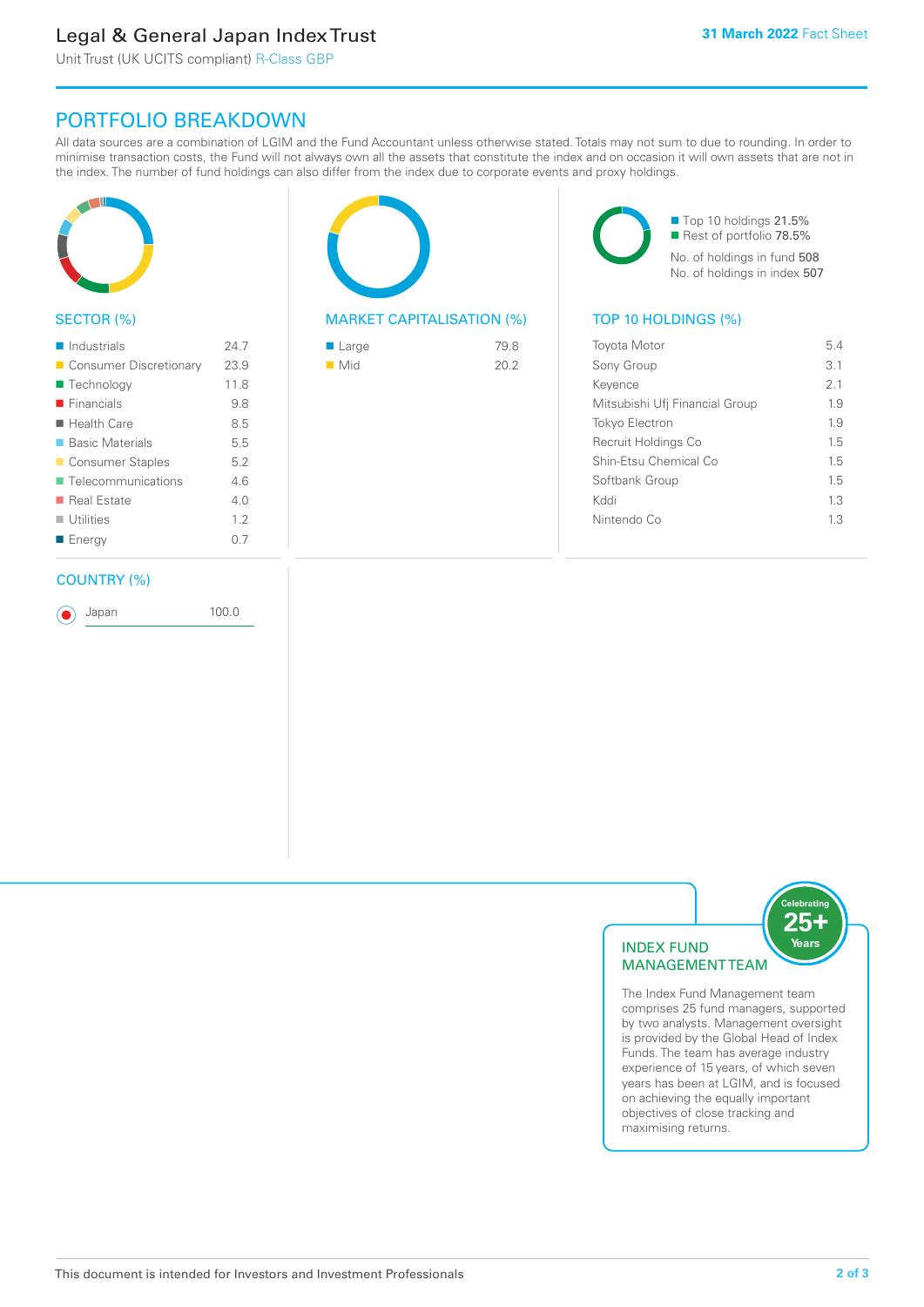### Legal & General Japan Index Trust

Unit Trust (UK UCITS compliant) R-Class GBP

### PORTFOLIO BREAKDOWN

All data sources are a combination of LGIM and the Fund Accountant unless otherwise stated. Totals may not sum to due to rounding. In order to minimise transaction costs, the Fund will not always own all the assets that constitute the index and on occasion it will own assets that are not in the index. The number of fund holdings can also differ from the index due to corporate events and proxy holdings.



#### SECTOR (%)

| $\blacksquare$ Industrials | 24.7 |
|----------------------------|------|
| ■ Consumer Discretionary   | 23.9 |
| ■ Technology               | 11.8 |
| $\blacksquare$ Financials  | 9.8  |
| $\blacksquare$ Health Care | 8.5  |
| ■ Basic Materials          | 5.5  |
| ■ Consumer Staples         | 5.2  |
| ■ Telecommunications       | 46   |
| ■ Real Estate              | 4 N  |
| $\blacksquare$ Utilities   | 12   |
| ■ Energy                   | 0.7  |
|                            |      |

#### COUNTRY (%)

Japan 100.0



#### MARKET CAPITALISATION (%) TOP 10 HOLDINGS (%)

| $\blacksquare$ Large | 79.8 |
|----------------------|------|
| $\blacksquare$ Mid   | 20.2 |
|                      |      |

■ Top 10 holdings 21.5% Rest of portfolio 78.5% No. of holdings in fund 508 No. of holdings in index 507

| <b>Toyota Motor</b>            | 54  |
|--------------------------------|-----|
| Sony Group                     | 3.1 |
| Kevence                        | 21  |
| Mitsubishi Ufj Financial Group | 19  |
| <b>Tokyo Electron</b>          | 1.9 |
| Recruit Holdings Co            | 15  |
| Shin-Etsu Chemical Co          | 1.5 |
| Softbank Group                 | 1.5 |
| Kyql                           | 13  |
| Nintendo Co                    | 13  |
|                                |     |



The Index Fund Management team comprises 25 fund managers, supported by two analysts. Management oversight is provided by the Global Head of Index Funds. The team has average industry experience of 15 years, of which seven years has been at LGIM, and is focused on achieving the equally important objectives of close tracking and maximising returns.